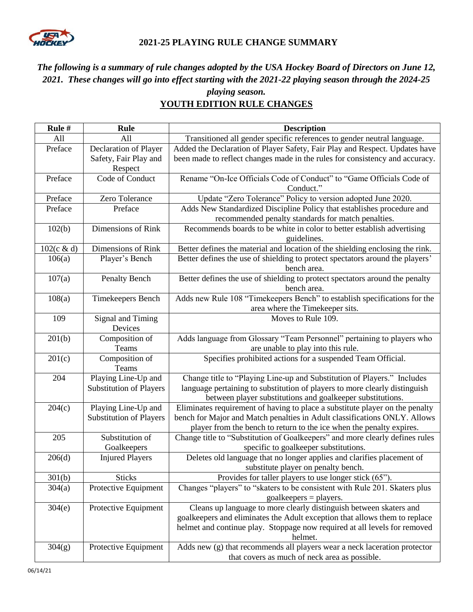

### **2021-25 PLAYING RULE CHANGE SUMMARY**

# *The following is a summary of rule changes adopted by the USA Hockey Board of Directors on June 12, 2021. These changes will go into effect starting with the 2021-22 playing season through the 2024-25*

### *playing season.* **YOUTH EDITION RULE CHANGES**

| Rule #     | Rule                           | <b>Description</b>                                                            |
|------------|--------------------------------|-------------------------------------------------------------------------------|
| A11        | All                            | Transitioned all gender specific references to gender neutral language.       |
| Preface    | Declaration of Player          | Added the Declaration of Player Safety, Fair Play and Respect. Updates have   |
|            | Safety, Fair Play and          | been made to reflect changes made in the rules for consistency and accuracy.  |
|            | Respect                        |                                                                               |
| Preface    | Code of Conduct                | Rename "On-Ice Officials Code of Conduct" to "Game Officials Code of          |
|            |                                | Conduct."                                                                     |
| Preface    | Zero Tolerance                 | Update "Zero Tolerance" Policy to version adopted June 2020.                  |
| Preface    | Preface                        | Adds New Standardized Discipline Policy that establishes procedure and        |
|            |                                | recommended penalty standards for match penalties.                            |
| 102(b)     | Dimensions of Rink             | Recommends boards to be white in color to better establish advertising        |
|            |                                | guidelines.                                                                   |
| 102(c & d) | Dimensions of Rink             | Better defines the material and location of the shielding enclosing the rink. |
| 106(a)     | Player's Bench                 | Better defines the use of shielding to protect spectators around the players' |
|            |                                | bench area.                                                                   |
| 107(a)     | Penalty Bench                  | Better defines the use of shielding to protect spectators around the penalty  |
|            |                                | bench area.                                                                   |
| 108(a)     | Timekeepers Bench              | Adds new Rule 108 "Timekeepers Bench" to establish specifications for the     |
| 109        | Signal and Timing              | area where the Timekeeper sits.<br>Moves to Rule 109.                         |
|            | Devices                        |                                                                               |
| 201(b)     | Composition of                 | Adds language from Glossary "Team Personnel" pertaining to players who        |
|            | Teams                          | are unable to play into this rule.                                            |
| 201(c)     | Composition of                 | Specifies prohibited actions for a suspended Team Official.                   |
|            | Teams                          |                                                                               |
| 204        | Playing Line-Up and            | Change title to "Playing Line-up and Substitution of Players." Includes       |
|            | <b>Substitution of Players</b> | language pertaining to substitution of players to more clearly distinguish    |
|            |                                | between player substitutions and goalkeeper substitutions.                    |
| 204(c)     | Playing Line-Up and            | Eliminates requirement of having to place a substitute player on the penalty  |
|            | <b>Substitution of Players</b> | bench for Major and Match penalties in Adult classifications ONLY. Allows     |
|            |                                | player from the bench to return to the ice when the penalty expires.          |
| 205        | Substitution of                | Change title to "Substitution of Goalkeepers" and more clearly defines rules  |
|            | Goalkeepers                    | specific to goalkeeper substitutions.                                         |
| 206(d)     | <b>Injured Players</b>         | Deletes old language that no longer applies and clarifies placement of        |
|            |                                | substitute player on penalty bench.                                           |
| 301(b)     | <b>Sticks</b>                  | Provides for taller players to use longer stick (65").                        |
| 304(a)     | Protective Equipment           | Changes "players" to "skaters to be consistent with Rule 201. Skaters plus    |
|            |                                | $goalkeepers = players.$                                                      |
| 304(e)     | Protective Equipment           | Cleans up language to more clearly distinguish between skaters and            |
|            |                                | goalkeepers and eliminates the Adult exception that allows them to replace    |
|            |                                | helmet and continue play. Stoppage now required at all levels for removed     |
|            |                                | helmet.                                                                       |
| 304(g)     | Protective Equipment           | Adds new (g) that recommends all players wear a neck laceration protector     |
|            |                                | that covers as much of neck area as possible.                                 |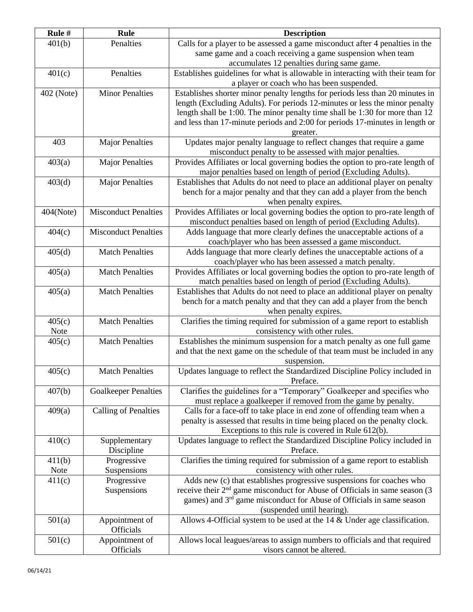| Rule #     | <b>Rule</b>                 | <b>Description</b>                                                                                                                                      |
|------------|-----------------------------|---------------------------------------------------------------------------------------------------------------------------------------------------------|
| 401(b)     | Penalties                   | Calls for a player to be assessed a game misconduct after 4 penalties in the                                                                            |
|            |                             | same game and a coach receiving a game suspension when team                                                                                             |
|            |                             | accumulates 12 penalties during same game.                                                                                                              |
| 401(c)     | Penalties                   | Establishes guidelines for what is allowable in interacting with their team for                                                                         |
|            |                             | a player or coach who has been suspended.                                                                                                               |
| 402 (Note) | Minor Penalties             | Establishes shorter minor penalty lengths for periods less than 20 minutes in                                                                           |
|            |                             | length (Excluding Adults). For periods 12-minutes or less the minor penalty                                                                             |
|            |                             | length shall be 1:00. The minor penalty time shall be 1:30 for more than 12                                                                             |
|            |                             | and less than 17-minute periods and 2:00 for periods 17-minutes in length or                                                                            |
|            |                             | greater.                                                                                                                                                |
| 403        | <b>Major Penalties</b>      | Updates major penalty language to reflect changes that require a game                                                                                   |
|            |                             | misconduct penalty to be assessed with major penalties.                                                                                                 |
| 403(a)     | <b>Major Penalties</b>      | Provides Affiliates or local governing bodies the option to pro-rate length of                                                                          |
|            |                             | major penalties based on length of period (Excluding Adults).                                                                                           |
| 403(d)     | <b>Major Penalties</b>      | Establishes that Adults do not need to place an additional player on penalty                                                                            |
|            |                             | bench for a major penalty and that they can add a player from the bench                                                                                 |
|            |                             | when penalty expires.                                                                                                                                   |
| 404(Note)  | <b>Misconduct Penalties</b> | Provides Affiliates or local governing bodies the option to pro-rate length of                                                                          |
|            |                             | misconduct penalties based on length of period (Excluding Adults).                                                                                      |
| 404(c)     | <b>Misconduct Penalties</b> | Adds language that more clearly defines the unacceptable actions of a                                                                                   |
|            |                             | coach/player who has been assessed a game misconduct.                                                                                                   |
| 405(d)     | <b>Match Penalties</b>      | Adds language that more clearly defines the unacceptable actions of a                                                                                   |
|            |                             | coach/player who has been assessed a match penalty.                                                                                                     |
| 405(a)     | <b>Match Penalties</b>      | Provides Affiliates or local governing bodies the option to pro-rate length of                                                                          |
|            | <b>Match Penalties</b>      | match penalties based on length of period (Excluding Adults).                                                                                           |
| 405(a)     |                             | Establishes that Adults do not need to place an additional player on penalty<br>bench for a match penalty and that they can add a player from the bench |
|            |                             | when penalty expires.                                                                                                                                   |
| 405(c)     | <b>Match Penalties</b>      | Clarifies the timing required for submission of a game report to establish                                                                              |
| Note       |                             | consistency with other rules.                                                                                                                           |
| 405(c)     | <b>Match Penalties</b>      | Establishes the minimum suspension for a match penalty as one full game                                                                                 |
|            |                             | and that the next game on the schedule of that team must be included in any                                                                             |
|            |                             | suspension.                                                                                                                                             |
| 405(c)     | <b>Match Penalties</b>      | Updates language to reflect the Standardized Discipline Policy included in                                                                              |
|            |                             | Preface.                                                                                                                                                |
| 407(b)     | <b>Goalkeeper Penalties</b> | Clarifies the guidelines for a "Temporary" Goalkeeper and specifies who                                                                                 |
|            |                             | must replace a goalkeeper if removed from the game by penalty.                                                                                          |
| 409(a)     | Calling of Penalties        | Calls for a face-off to take place in end zone of offending team when a                                                                                 |
|            |                             | penalty is assessed that results in time being placed on the penalty clock.                                                                             |
|            |                             | Exceptions to this rule is covered in Rule 612(b).                                                                                                      |
| 410(c)     | Supplementary               | Updates language to reflect the Standardized Discipline Policy included in                                                                              |
|            | Discipline                  | Preface.                                                                                                                                                |
| 411(b)     | Progressive                 | Clarifies the timing required for submission of a game report to establish                                                                              |
| Note       | Suspensions                 | consistency with other rules.                                                                                                                           |
| 411(c)     | Progressive                 | Adds new (c) that establishes progressive suspensions for coaches who                                                                                   |
|            | Suspensions                 | receive their $2nd$ game misconduct for Abuse of Officials in same season (3)                                                                           |
|            |                             | games) and 3 <sup>rd</sup> game misconduct for Abuse of Officials in same season                                                                        |
|            |                             | (suspended until hearing).                                                                                                                              |
| 501(a)     | Appointment of<br>Officials | Allows 4-Official system to be used at the $14 \&$ Under age classification.                                                                            |
| 501(c)     | Appointment of              | Allows local leagues/areas to assign numbers to officials and that required                                                                             |
|            | Officials                   | visors cannot be altered.                                                                                                                               |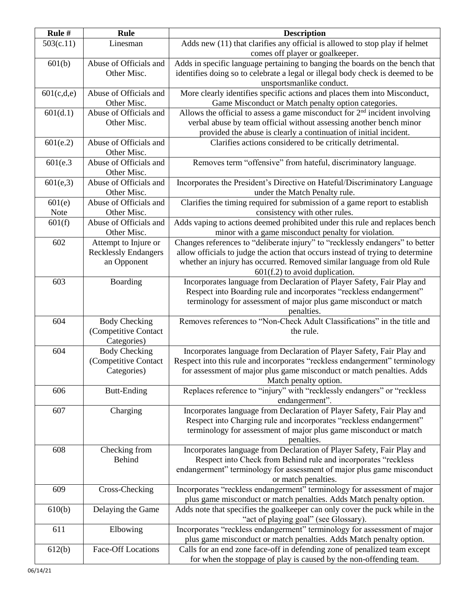| Rule#          | Rule                                  | <b>Description</b>                                                                                                                            |
|----------------|---------------------------------------|-----------------------------------------------------------------------------------------------------------------------------------------------|
| 503(c.11)      | Linesman                              | Adds new (11) that clarifies any official is allowed to stop play if helmet                                                                   |
|                |                                       | comes off player or goalkeeper.                                                                                                               |
| 601(b)         | Abuse of Officials and                | Adds in specific language pertaining to banging the boards on the bench that                                                                  |
|                | Other Misc.                           | identifies doing so to celebrate a legal or illegal body check is deemed to be                                                                |
|                |                                       | unsportsmanlike conduct.                                                                                                                      |
| 601(c,d,e)     | Abuse of Officials and                | More clearly identifies specific actions and places them into Misconduct,                                                                     |
|                | Other Misc.                           | Game Misconduct or Match penalty option categories.                                                                                           |
| 601(d.1)       | Abuse of Officials and                | Allows the official to assess a game misconduct for $2nd$ incident involving                                                                  |
|                | Other Misc.                           | verbal abuse by team official without assessing another bench minor                                                                           |
|                |                                       | provided the abuse is clearly a continuation of initial incident.                                                                             |
| 601(e.2)       | Abuse of Officials and                | Clarifies actions considered to be critically detrimental.                                                                                    |
|                | Other Misc.                           |                                                                                                                                               |
| 601(e.3)       | Abuse of Officials and                | Removes term "offensive" from hateful, discriminatory language.                                                                               |
|                | Other Misc.                           |                                                                                                                                               |
| 601(e, 3)      | Abuse of Officials and                | Incorporates the President's Directive on Hateful/Discriminatory Language                                                                     |
|                | Other Misc.<br>Abuse of Officials and | under the Match Penalty rule.                                                                                                                 |
| 601(e)         | Other Misc.                           | Clarifies the timing required for submission of a game report to establish                                                                    |
| Note<br>601(f) | Abuse of Officials and                | consistency with other rules.<br>Adds vaping to actions deemed prohibited under this rule and replaces bench                                  |
|                | Other Misc.                           | minor with a game misconduct penalty for violation.                                                                                           |
| 602            | Attempt to Injure or                  | Changes references to "deliberate injury" to "recklessly endangers" to better                                                                 |
|                | <b>Recklessly Endangers</b>           | allow officials to judge the action that occurs instead of trying to determine                                                                |
|                | an Opponent                           | whether an injury has occurred. Removed similar language from old Rule                                                                        |
|                |                                       | $601(f.2)$ to avoid duplication.                                                                                                              |
| 603            | Boarding                              | Incorporates language from Declaration of Player Safety, Fair Play and                                                                        |
|                |                                       | Respect into Boarding rule and incorporates "reckless endangerment"                                                                           |
|                |                                       | terminology for assessment of major plus game misconduct or match                                                                             |
|                |                                       | penalties.                                                                                                                                    |
| 604            | <b>Body Checking</b>                  | Removes references to "Non-Check Adult Classifications" in the title and                                                                      |
|                | (Competitive Contact                  | the rule.                                                                                                                                     |
|                | Categories)                           |                                                                                                                                               |
| 604            | <b>Body Checking</b>                  | Incorporates language from Declaration of Player Safety, Fair Play and                                                                        |
|                | (Competitive Contact                  | Respect into this rule and incorporates "reckless endangerment" terminology                                                                   |
|                | Categories)                           | for assessment of major plus game misconduct or match penalties. Adds                                                                         |
|                |                                       | Match penalty option.                                                                                                                         |
| 606            | <b>Butt-Ending</b>                    | Replaces reference to "injury" with "recklessly endangers" or "reckless                                                                       |
|                |                                       | endangerment".                                                                                                                                |
| 607            | Charging                              | Incorporates language from Declaration of Player Safety, Fair Play and<br>Respect into Charging rule and incorporates "reckless endangerment" |
|                |                                       | terminology for assessment of major plus game misconduct or match                                                                             |
|                |                                       | penalties.                                                                                                                                    |
| 608            | Checking from                         | Incorporates language from Declaration of Player Safety, Fair Play and                                                                        |
|                | <b>Behind</b>                         | Respect into Check from Behind rule and incorporates "reckless                                                                                |
|                |                                       | endangerment" terminology for assessment of major plus game misconduct                                                                        |
|                |                                       | or match penalties.                                                                                                                           |
| 609            | Cross-Checking                        | Incorporates "reckless endangerment" terminology for assessment of major                                                                      |
|                |                                       | plus game misconduct or match penalties. Adds Match penalty option.                                                                           |
| 610(b)         | Delaying the Game                     | Adds note that specifies the goalkeeper can only cover the puck while in the                                                                  |
|                |                                       | "act of playing goal" (see Glossary).                                                                                                         |
| 611            | Elbowing                              | Incorporates "reckless endangerment" terminology for assessment of major                                                                      |
|                |                                       | plus game misconduct or match penalties. Adds Match penalty option.                                                                           |
| 612(b)         | Face-Off Locations                    | Calls for an end zone face-off in defending zone of penalized team except                                                                     |
|                |                                       | for when the stoppage of play is caused by the non-offending team.                                                                            |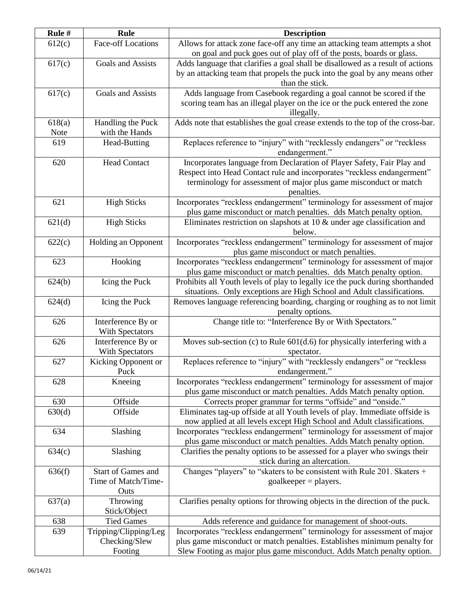| Rule # | <b>Rule</b>                           | <b>Description</b>                                                                            |
|--------|---------------------------------------|-----------------------------------------------------------------------------------------------|
| 612(c) | Face-off Locations                    | Allows for attack zone face-off any time an attacking team attempts a shot                    |
|        |                                       | on goal and puck goes out of play off of the posts, boards or glass.                          |
| 617(c) | Goals and Assists                     | Adds language that clarifies a goal shall be disallowed as a result of actions                |
|        |                                       | by an attacking team that propels the puck into the goal by any means other                   |
|        |                                       | than the stick.                                                                               |
| 617(c) | Goals and Assists                     | Adds language from Casebook regarding a goal cannot be scored if the                          |
|        |                                       | scoring team has an illegal player on the ice or the puck entered the zone                    |
| 618(a) | Handling the Puck                     | illegally.<br>Adds note that establishes the goal crease extends to the top of the cross-bar. |
| Note   | with the Hands                        |                                                                                               |
| 619    | Head-Butting                          | Replaces reference to "injury" with "recklessly endangers" or "reckless                       |
|        |                                       | endangerment."                                                                                |
| 620    | <b>Head Contact</b>                   | Incorporates language from Declaration of Player Safety, Fair Play and                        |
|        |                                       | Respect into Head Contact rule and incorporates "reckless endangerment"                       |
|        |                                       | terminology for assessment of major plus game misconduct or match                             |
| 621    | <b>High Sticks</b>                    | penalties.<br>Incorporates "reckless endangerment" terminology for assessment of major        |
|        |                                       | plus game misconduct or match penalties. dds Match penalty option.                            |
| 621(d) | <b>High Sticks</b>                    | Eliminates restriction on slapshots at 10 & under age classification and                      |
|        |                                       | below.                                                                                        |
| 622(c) | Holding an Opponent                   | Incorporates "reckless endangerment" terminology for assessment of major                      |
|        |                                       | plus game misconduct or match penalties.                                                      |
| 623    | Hooking                               | Incorporates "reckless endangerment" terminology for assessment of major                      |
|        |                                       | plus game misconduct or match penalties. dds Match penalty option.                            |
| 624(b) | Icing the Puck                        | Prohibits all Youth levels of play to legally ice the puck during shorthanded                 |
|        |                                       | situations. Only exceptions are High School and Adult classifications.                        |
| 624(d) | Icing the Puck                        | Removes language referencing boarding, charging or roughing as to not limit                   |
|        |                                       | penalty options.                                                                              |
| 626    | Interference By or                    | Change title to: "Interference By or With Spectators."                                        |
|        | With Spectators                       |                                                                                               |
| 626    | Interference By or<br>With Spectators | Moves sub-section (c) to Rule $601(d.6)$ for physically interfering with a                    |
| 627    | Kicking Opponent or                   | spectator.<br>Replaces reference to "injury" with "recklessly endangers" or "reckless         |
|        | Puck                                  | endangerment."                                                                                |
| 628    | Kneeing                               | Incorporates "reckless endangerment" terminology for assessment of major                      |
|        |                                       | plus game misconduct or match penalties. Adds Match penalty option.                           |
| 630    | Offside                               | Corrects proper grammar for terms "offside" and "onside."                                     |
| 630(d) | Offside                               | Eliminates tag-up offside at all Youth levels of play. Immediate offside is                   |
|        |                                       | now applied at all levels except High School and Adult classifications.                       |
| 634    | Slashing                              | Incorporates "reckless endangerment" terminology for assessment of major                      |
|        |                                       | plus game misconduct or match penalties. Adds Match penalty option.                           |
| 634(c) | Slashing                              | Clarifies the penalty options to be assessed for a player who swings their                    |
|        |                                       | stick during an altercation.                                                                  |
| 636(f) | Start of Games and                    | Changes "players" to "skaters to be consistent with Rule 201. Skaters +                       |
|        | Time of Match/Time-<br>Outs           | $goalkeeper = players.$                                                                       |
| 637(a) | Throwing                              | Clarifies penalty options for throwing objects in the direction of the puck.                  |
|        | Stick/Object                          |                                                                                               |
| 638    | <b>Tied Games</b>                     | Adds reference and guidance for management of shoot-outs.                                     |
| 639    | Tripping/Clipping/Leg                 | Incorporates "reckless endangerment" terminology for assessment of major                      |
|        | Checking/Slew                         | plus game misconduct or match penalties. Establishes minimum penalty for                      |
|        | Footing                               | Slew Footing as major plus game misconduct. Adds Match penalty option.                        |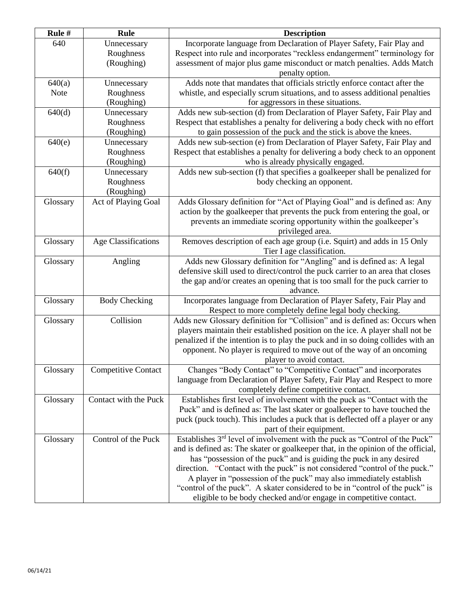| Rule #   | Rule                       | <b>Description</b>                                                                      |
|----------|----------------------------|-----------------------------------------------------------------------------------------|
| 640      | Unnecessary                | Incorporate language from Declaration of Player Safety, Fair Play and                   |
|          | Roughness                  | Respect into rule and incorporates "reckless endangerment" terminology for              |
|          | (Roughing)                 | assessment of major plus game misconduct or match penalties. Adds Match                 |
|          |                            | penalty option.                                                                         |
| 640(a)   | Unnecessary                | Adds note that mandates that officials strictly enforce contact after the               |
| Note     | Roughness                  | whistle, and especially scrum situations, and to assess additional penalties            |
|          | (Roughing)                 | for aggressors in these situations.                                                     |
| 640(d)   | Unnecessary                | Adds new sub-section (d) from Declaration of Player Safety, Fair Play and               |
|          | Roughness                  | Respect that establishes a penalty for delivering a body check with no effort           |
|          | (Roughing)                 | to gain possession of the puck and the stick is above the knees.                        |
| 640(e)   | Unnecessary                | Adds new sub-section (e) from Declaration of Player Safety, Fair Play and               |
|          | Roughness                  | Respect that establishes a penalty for delivering a body check to an opponent           |
|          | (Roughing)                 | who is already physically engaged.                                                      |
| 640(f)   | Unnecessary                | Adds new sub-section (f) that specifies a goalkeeper shall be penalized for             |
|          | Roughness                  | body checking an opponent.                                                              |
|          | (Roughing)                 |                                                                                         |
| Glossary | Act of Playing Goal        | Adds Glossary definition for "Act of Playing Goal" and is defined as: Any               |
|          |                            | action by the goalkeeper that prevents the puck from entering the goal, or              |
|          |                            | prevents an immediate scoring opportunity within the goalkeeper's                       |
|          |                            | privileged area.                                                                        |
| Glossary | Age Classifications        | Removes description of each age group (i.e. Squirt) and adds in 15 Only                 |
|          |                            | Tier I age classification.                                                              |
| Glossary | Angling                    | Adds new Glossary definition for "Angling" and is defined as: A legal                   |
|          |                            | defensive skill used to direct/control the puck carrier to an area that closes          |
|          |                            | the gap and/or creates an opening that is too small for the puck carrier to             |
|          |                            | advance.                                                                                |
| Glossary | <b>Body Checking</b>       | Incorporates language from Declaration of Player Safety, Fair Play and                  |
|          |                            | Respect to more completely define legal body checking.                                  |
| Glossary | Collision                  | Adds new Glossary definition for "Collision" and is defined as: Occurs when             |
|          |                            | players maintain their established position on the ice. A player shall not be           |
|          |                            | penalized if the intention is to play the puck and in so doing collides with an         |
|          |                            | opponent. No player is required to move out of the way of an oncoming                   |
|          |                            | player to avoid contact.                                                                |
| Glossary | <b>Competitive Contact</b> | Changes "Body Contact" to "Competitive Contact" and incorporates                        |
|          |                            | language from Declaration of Player Safety, Fair Play and Respect to more               |
|          |                            | completely define competitive contact.                                                  |
| Glossary | Contact with the Puck      | Establishes first level of involvement with the puck as "Contact with the               |
|          |                            | Puck" and is defined as: The last skater or goalkeeper to have touched the              |
|          |                            | puck (puck touch). This includes a puck that is deflected off a player or any           |
|          |                            | part of their equipment.                                                                |
| Glossary | Control of the Puck        | Establishes 3 <sup>rd</sup> level of involvement with the puck as "Control of the Puck" |
|          |                            | and is defined as: The skater or goalkeeper that, in the opinion of the official,       |
|          |                            | has "possession of the puck" and is guiding the puck in any desired                     |
|          |                            | direction. "Contact with the puck" is not considered "control of the puck."             |
|          |                            | A player in "possession of the puck" may also immediately establish                     |
|          |                            | "control of the puck". A skater considered to be in "control of the puck" is            |
|          |                            | eligible to be body checked and/or engage in competitive contact.                       |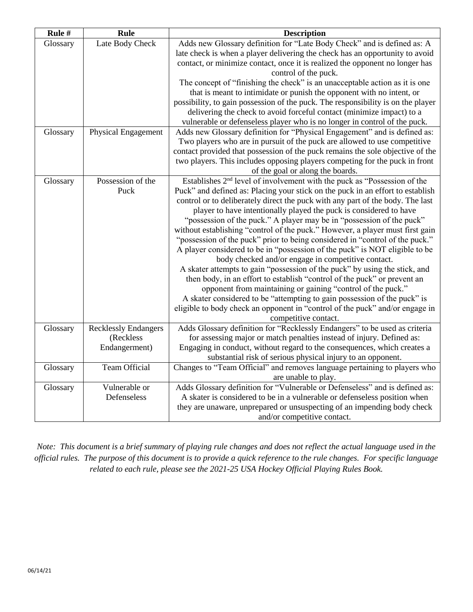| Rule #   | <b>Rule</b>                 | <b>Description</b>                                                                                                                                                                                                                      |
|----------|-----------------------------|-----------------------------------------------------------------------------------------------------------------------------------------------------------------------------------------------------------------------------------------|
| Glossary | Late Body Check             | Adds new Glossary definition for "Late Body Check" and is defined as: A<br>late check is when a player delivering the check has an opportunity to avoid<br>contact, or minimize contact, once it is realized the opponent no longer has |
|          |                             | control of the puck.                                                                                                                                                                                                                    |
|          |                             | The concept of "finishing the check" is an unacceptable action as it is one                                                                                                                                                             |
|          |                             | that is meant to intimidate or punish the opponent with no intent, or                                                                                                                                                                   |
|          |                             | possibility, to gain possession of the puck. The responsibility is on the player                                                                                                                                                        |
|          |                             | delivering the check to avoid forceful contact (minimize impact) to a                                                                                                                                                                   |
|          |                             | vulnerable or defenseless player who is no longer in control of the puck.                                                                                                                                                               |
| Glossary | <b>Physical Engagement</b>  | Adds new Glossary definition for "Physical Engagement" and is defined as:                                                                                                                                                               |
|          |                             | Two players who are in pursuit of the puck are allowed to use competitive<br>contact provided that possession of the puck remains the sole objective of the                                                                             |
|          |                             | two players. This includes opposing players competing for the puck in front<br>of the goal or along the boards.                                                                                                                         |
| Glossary | Possession of the           | Establishes 2 <sup>nd</sup> level of involvement with the puck as "Possession of the                                                                                                                                                    |
|          | Puck                        | Puck" and defined as: Placing your stick on the puck in an effort to establish                                                                                                                                                          |
|          |                             | control or to deliberately direct the puck with any part of the body. The last                                                                                                                                                          |
|          |                             | player to have intentionally played the puck is considered to have                                                                                                                                                                      |
|          |                             | "possession of the puck." A player may be in "possession of the puck"                                                                                                                                                                   |
|          |                             | without establishing "control of the puck." However, a player must first gain                                                                                                                                                           |
|          |                             | "possession of the puck" prior to being considered in "control of the puck."                                                                                                                                                            |
|          |                             | A player considered to be in "possession of the puck" is NOT eligible to be                                                                                                                                                             |
|          |                             | body checked and/or engage in competitive contact.                                                                                                                                                                                      |
|          |                             | A skater attempts to gain "possession of the puck" by using the stick, and<br>then body, in an effort to establish "control of the puck" or prevent an                                                                                  |
|          |                             | opponent from maintaining or gaining "control of the puck."                                                                                                                                                                             |
|          |                             | A skater considered to be "attempting to gain possession of the puck" is                                                                                                                                                                |
|          |                             | eligible to body check an opponent in "control of the puck" and/or engage in                                                                                                                                                            |
|          |                             | competitive contact.                                                                                                                                                                                                                    |
| Glossary | <b>Recklessly Endangers</b> | Adds Glossary definition for "Recklessly Endangers" to be used as criteria                                                                                                                                                              |
|          | (Reckless                   | for assessing major or match penalties instead of injury. Defined as:                                                                                                                                                                   |
|          | Endangerment)               | Engaging in conduct, without regard to the consequences, which creates a                                                                                                                                                                |
|          |                             | substantial risk of serious physical injury to an opponent.                                                                                                                                                                             |
| Glossary | Team Official               | Changes to "Team Official" and removes language pertaining to players who                                                                                                                                                               |
|          |                             | are unable to play.                                                                                                                                                                                                                     |
| Glossary | Vulnerable or               | Adds Glossary definition for "Vulnerable or Defenseless" and is defined as:                                                                                                                                                             |
|          | Defenseless                 | A skater is considered to be in a vulnerable or defenseless position when                                                                                                                                                               |
|          |                             | they are unaware, unprepared or unsuspecting of an impending body check                                                                                                                                                                 |
|          |                             | and/or competitive contact.                                                                                                                                                                                                             |

*Note: This document is a brief summary of playing rule changes and does not reflect the actual language used in the official rules. The purpose of this document is to provide a quick reference to the rule changes. For specific language related to each rule, please see the 2021-25 USA Hockey Official Playing Rules Book.*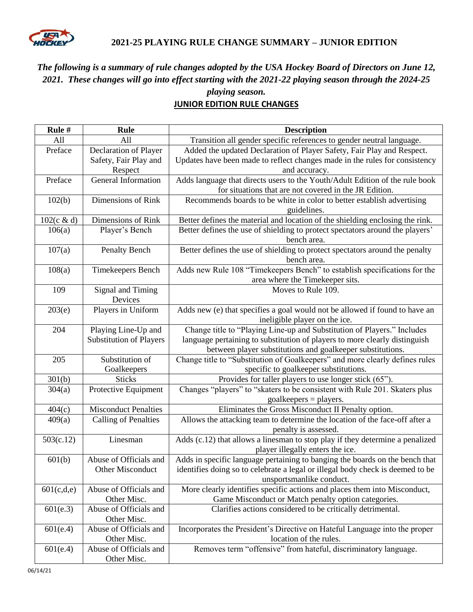

#### **2021-25 PLAYING RULE CHANGE SUMMARY – JUNIOR EDITION**

# *The following is a summary of rule changes adopted by the USA Hockey Board of Directors on June 12, 2021. These changes will go into effect starting with the 2021-22 playing season through the 2024-25*

#### *playing season.* **JUNIOR EDITION RULE CHANGES**

| Rule#      | <b>Rule</b>                                | <b>Description</b>                                                                                                                                                                         |
|------------|--------------------------------------------|--------------------------------------------------------------------------------------------------------------------------------------------------------------------------------------------|
| All        | All                                        | Transition all gender specific references to gender neutral language.                                                                                                                      |
| Preface    | Declaration of Player                      | Added the updated Declaration of Player Safety, Fair Play and Respect.                                                                                                                     |
|            | Safety, Fair Play and                      | Updates have been made to reflect changes made in the rules for consistency                                                                                                                |
|            | Respect                                    | and accuracy.                                                                                                                                                                              |
| Preface    | General Information                        | Adds language that directs users to the Youth/Adult Edition of the rule book                                                                                                               |
|            |                                            | for situations that are not covered in the JR Edition.                                                                                                                                     |
| 102(b)     | Dimensions of Rink                         | Recommends boards to be white in color to better establish advertising<br>guidelines.                                                                                                      |
| 102(c & d) | Dimensions of Rink                         | Better defines the material and location of the shielding enclosing the rink.                                                                                                              |
| 106(a)     | Player's Bench                             | Better defines the use of shielding to protect spectators around the players'<br>bench area.                                                                                               |
| 107(a)     | Penalty Bench                              | Better defines the use of shielding to protect spectators around the penalty                                                                                                               |
|            |                                            | bench area.                                                                                                                                                                                |
| 108(a)     | Timekeepers Bench                          | Adds new Rule 108 "Timekeepers Bench" to establish specifications for the                                                                                                                  |
|            |                                            | area where the Timekeeper sits.                                                                                                                                                            |
| 109        | Signal and Timing<br>Devices               | Moves to Rule 109.                                                                                                                                                                         |
| 203(e)     | Players in Uniform                         | Adds new (e) that specifies a goal would not be allowed if found to have an                                                                                                                |
|            |                                            | ineligible player on the ice.                                                                                                                                                              |
| 204        | Playing Line-Up and                        | Change title to "Playing Line-up and Substitution of Players." Includes                                                                                                                    |
|            | <b>Substitution of Players</b>             | language pertaining to substitution of players to more clearly distinguish                                                                                                                 |
|            |                                            | between player substitutions and goalkeeper substitutions.                                                                                                                                 |
| 205        | Substitution of                            | Change title to "Substitution of Goalkeepers" and more clearly defines rules                                                                                                               |
|            | Goalkeepers                                | specific to goalkeeper substitutions.                                                                                                                                                      |
| 301(b)     | <b>Sticks</b>                              | Provides for taller players to use longer stick (65").                                                                                                                                     |
| 304(a)     | Protective Equipment                       | Changes "players" to "skaters to be consistent with Rule 201. Skaters plus<br>$goalkeepers = players.$                                                                                     |
| 404(c)     | <b>Misconduct Penalties</b>                | Eliminates the Gross Misconduct II Penalty option.                                                                                                                                         |
| 409(a)     | Calling of Penalties                       | Allows the attacking team to determine the location of the face-off after a<br>penalty is assessed.                                                                                        |
| 503(c.12)  | Linesman                                   | Adds (c.12) that allows a linesman to stop play if they determine a penalized<br>player illegally enters the ice.                                                                          |
| 601(b)     | Abuse of Officials and<br>Other Misconduct | Adds in specific language pertaining to banging the boards on the bench that<br>identifies doing so to celebrate a legal or illegal body check is deemed to be<br>unsportsmanlike conduct. |
| 601(c,d,e) | Abuse of Officials and<br>Other Misc.      | More clearly identifies specific actions and places them into Misconduct,<br>Game Misconduct or Match penalty option categories.                                                           |
| 601(e.3)   | Abuse of Officials and<br>Other Misc.      | Clarifies actions considered to be critically detrimental.                                                                                                                                 |
| 601(e.4)   | Abuse of Officials and<br>Other Misc.      | Incorporates the President's Directive on Hateful Language into the proper<br>location of the rules.                                                                                       |
| 601(e.4)   | Abuse of Officials and<br>Other Misc.      | Removes term "offensive" from hateful, discriminatory language.                                                                                                                            |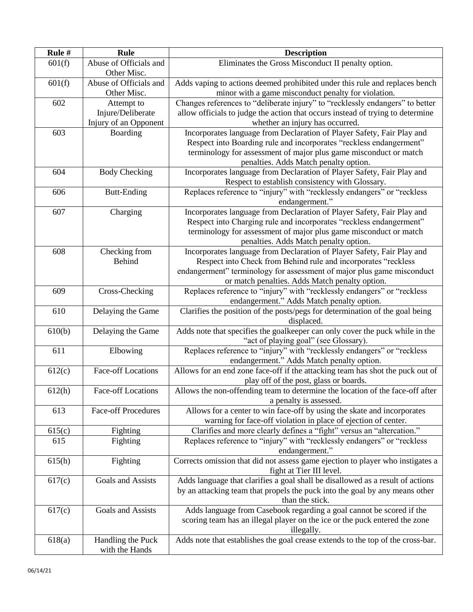| Rule # | Rule                                  | <b>Description</b>                                                                                                                 |
|--------|---------------------------------------|------------------------------------------------------------------------------------------------------------------------------------|
| 601(f) | Abuse of Officials and<br>Other Misc. | Eliminates the Gross Misconduct II penalty option.                                                                                 |
| 601(f) | Abuse of Officials and<br>Other Misc. | Adds vaping to actions deemed prohibited under this rule and replaces bench<br>minor with a game misconduct penalty for violation. |
| 602    | Attempt to                            | Changes references to "deliberate injury" to "recklessly endangers" to better                                                      |
|        | Injure/Deliberate                     | allow officials to judge the action that occurs instead of trying to determine                                                     |
|        | Injury of an Opponent                 | whether an injury has occurred.                                                                                                    |
| 603    | Boarding                              | Incorporates language from Declaration of Player Safety, Fair Play and                                                             |
|        |                                       | Respect into Boarding rule and incorporates "reckless endangerment"                                                                |
|        |                                       | terminology for assessment of major plus game misconduct or match                                                                  |
|        |                                       | penalties. Adds Match penalty option.                                                                                              |
| 604    | <b>Body Checking</b>                  | Incorporates language from Declaration of Player Safety, Fair Play and                                                             |
|        |                                       | Respect to establish consistency with Glossary.                                                                                    |
| 606    | <b>Butt-Ending</b>                    | Replaces reference to "injury" with "recklessly endangers" or "reckless                                                            |
|        |                                       | endangerment."                                                                                                                     |
| 607    | Charging                              | Incorporates language from Declaration of Player Safety, Fair Play and                                                             |
|        |                                       | Respect into Charging rule and incorporates "reckless endangerment"                                                                |
|        |                                       | terminology for assessment of major plus game misconduct or match                                                                  |
|        |                                       | penalties. Adds Match penalty option.                                                                                              |
| 608    | Checking from                         | Incorporates language from Declaration of Player Safety, Fair Play and                                                             |
|        | <b>Behind</b>                         | Respect into Check from Behind rule and incorporates "reckless                                                                     |
|        |                                       | endangerment" terminology for assessment of major plus game misconduct                                                             |
|        |                                       | or match penalties. Adds Match penalty option.                                                                                     |
| 609    | Cross-Checking                        | Replaces reference to "injury" with "recklessly endangers" or "reckless                                                            |
|        |                                       | endangerment." Adds Match penalty option.                                                                                          |
| 610    | Delaying the Game                     | Clarifies the position of the posts/pegs for determination of the goal being<br>displaced.                                         |
| 610(b) | Delaying the Game                     | Adds note that specifies the goalkeeper can only cover the puck while in the                                                       |
|        |                                       | "act of playing goal" (see Glossary).                                                                                              |
| 611    | Elbowing                              | Replaces reference to "injury" with "recklessly endangers" or "reckless                                                            |
|        |                                       | endangerment." Adds Match penalty option.                                                                                          |
| 612(c) | <b>Face-off Locations</b>             | Allows for an end zone face-off if the attacking team has shot the puck out of                                                     |
|        |                                       | play off of the post, glass or boards.                                                                                             |
| 612(h) | <b>Face-off Locations</b>             | Allows the non-offending team to determine the location of the face-off after                                                      |
| 613    | <b>Face-off Procedures</b>            | a penalty is assessed.<br>Allows for a center to win face-off by using the skate and incorporates                                  |
|        |                                       | warning for face-off violation in place of ejection of center.                                                                     |
| 615(c) | Fighting                              | Clarifies and more clearly defines a "fight" versus an "altercation."                                                              |
| 615    | Fighting                              | Replaces reference to "injury" with "recklessly endangers" or "reckless                                                            |
|        |                                       | endangerment."                                                                                                                     |
| 615(h) | Fighting                              | Corrects omission that did not assess game ejection to player who instigates a                                                     |
|        |                                       | fight at Tier III level.                                                                                                           |
| 617(c) | Goals and Assists                     | Adds language that clarifies a goal shall be disallowed as a result of actions                                                     |
|        |                                       | by an attacking team that propels the puck into the goal by any means other                                                        |
|        |                                       | than the stick.                                                                                                                    |
| 617(c) | Goals and Assists                     | Adds language from Casebook regarding a goal cannot be scored if the                                                               |
|        |                                       | scoring team has an illegal player on the ice or the puck entered the zone                                                         |
|        |                                       | illegally.                                                                                                                         |
| 618(a) | Handling the Puck                     | Adds note that establishes the goal crease extends to the top of the cross-bar.                                                    |
|        | with the Hands                        |                                                                                                                                    |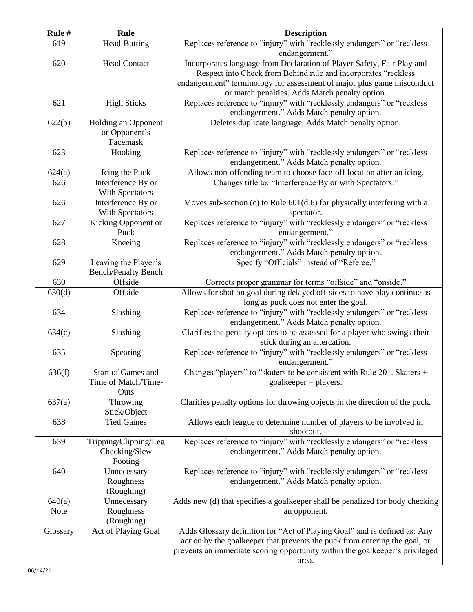| Rule #                | Rule                                                     | <b>Description</b>                                                                                                                                                                                                                                                   |
|-----------------------|----------------------------------------------------------|----------------------------------------------------------------------------------------------------------------------------------------------------------------------------------------------------------------------------------------------------------------------|
| 619                   | <b>Head-Butting</b>                                      | Replaces reference to "injury" with "recklessly endangers" or "reckless<br>endangerment."                                                                                                                                                                            |
| 620                   | <b>Head Contact</b>                                      | Incorporates language from Declaration of Player Safety, Fair Play and<br>Respect into Check from Behind rule and incorporates "reckless<br>endangerment" terminology for assessment of major plus game misconduct<br>or match penalties. Adds Match penalty option. |
| 621                   | <b>High Sticks</b>                                       | Replaces reference to "injury" with "recklessly endangers" or "reckless<br>endangerment." Adds Match penalty option.                                                                                                                                                 |
| 622(b)                | Holding an Opponent<br>or Opponent's<br>Facemask         | Deletes duplicate language. Adds Match penalty option.                                                                                                                                                                                                               |
| 623                   | Hooking                                                  | Replaces reference to "injury" with "recklessly endangers" or "reckless<br>endangerment." Adds Match penalty option.                                                                                                                                                 |
| 624(a)                | Icing the Puck                                           | Allows non-offending team to choose face-off location after an icing.                                                                                                                                                                                                |
| 626                   | Interference By or<br>With Spectators                    | Changes title to: "Interference By or with Spectators."                                                                                                                                                                                                              |
| 626                   | Interference By or<br>With Spectators                    | Moves sub-section (c) to Rule $601(d.6)$ for physically interfering with a<br>spectator.                                                                                                                                                                             |
| 627                   | Kicking Opponent or<br>Puck                              | Replaces reference to "injury" with "recklessly endangers" or "reckless<br>endangerment."                                                                                                                                                                            |
| 628                   | Kneeing                                                  | Replaces reference to "injury" with "recklessly endangers" or "reckless<br>endangerment." Adds Match penalty option.                                                                                                                                                 |
| 629                   | Leaving the Player's<br><b>Bench/Penalty Bench</b>       | Specify "Officials" instead of "Referee."                                                                                                                                                                                                                            |
| 630                   | Offside                                                  | Corrects proper grammar for terms "offside" and "onside."                                                                                                                                                                                                            |
| 630(d)                | Offside                                                  | Allows for shot on goal during delayed off-sides to have play continue as<br>long as puck does not enter the goal.                                                                                                                                                   |
| 634                   | Slashing                                                 | Replaces reference to "injury" with "recklessly endangers" or "reckless<br>endangerment." Adds Match penalty option.                                                                                                                                                 |
| 634(c)                | Slashing                                                 | Clarifies the penalty options to be assessed for a player who swings their<br>stick during an altercation.                                                                                                                                                           |
| 635                   | Spearing                                                 | Replaces reference to "injury" with "recklessly endangers" or "reckless<br>endangerment."                                                                                                                                                                            |
| 636(f)                | <b>Start of Games and</b><br>Time of Match/Time-<br>Outs | Changes "players" to "skaters to be consistent with Rule 201. Skaters +<br>$goalkeeper = players.$                                                                                                                                                                   |
| 637(a)                | Throwing<br>Stick/Object                                 | Clarifies penalty options for throwing objects in the direction of the puck.                                                                                                                                                                                         |
| 638                   | <b>Tied Games</b>                                        | Allows each league to determine number of players to be involved in<br>shootout.                                                                                                                                                                                     |
| 639                   | Tripping/Clipping/Leg<br>Checking/Slew<br>Footing        | Replaces reference to "injury" with "recklessly endangers" or "reckless<br>endangerment." Adds Match penalty option.                                                                                                                                                 |
| 640                   | Unnecessary<br>Roughness<br>(Roughing)                   | Replaces reference to "injury" with "recklessly endangers" or "reckless<br>endangerment." Adds Match penalty option.                                                                                                                                                 |
| 640(a)<br><b>Note</b> | Unnecessary<br>Roughness<br>(Roughing)                   | Adds new (d) that specifies a goalkeeper shall be penalized for body checking<br>an opponent.                                                                                                                                                                        |
| Glossary              | Act of Playing Goal                                      | Adds Glossary definition for "Act of Playing Goal" and is defined as: Any<br>action by the goalkeeper that prevents the puck from entering the goal, or<br>prevents an immediate scoring opportunity within the goalkeeper's privileged<br>area.                     |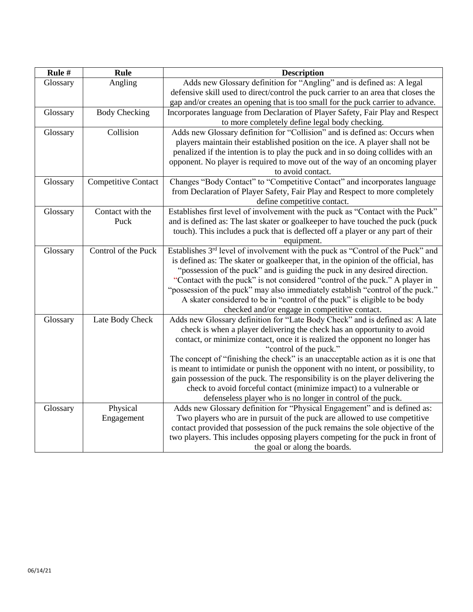| Rule #   | <b>Rule</b>                | <b>Description</b>                                                                                                                                         |
|----------|----------------------------|------------------------------------------------------------------------------------------------------------------------------------------------------------|
| Glossary | Angling                    | Adds new Glossary definition for "Angling" and is defined as: A legal                                                                                      |
|          |                            | defensive skill used to direct/control the puck carrier to an area that closes the                                                                         |
|          |                            | gap and/or creates an opening that is too small for the puck carrier to advance.                                                                           |
| Glossary | <b>Body Checking</b>       | Incorporates language from Declaration of Player Safety, Fair Play and Respect                                                                             |
|          |                            | to more completely define legal body checking.                                                                                                             |
| Glossary | Collision                  | Adds new Glossary definition for "Collision" and is defined as: Occurs when                                                                                |
|          |                            | players maintain their established position on the ice. A player shall not be                                                                              |
|          |                            | penalized if the intention is to play the puck and in so doing collides with an                                                                            |
|          |                            | opponent. No player is required to move out of the way of an oncoming player                                                                               |
|          |                            | to avoid contact.                                                                                                                                          |
| Glossary | <b>Competitive Contact</b> | Changes "Body Contact" to "Competitive Contact" and incorporates language                                                                                  |
|          |                            | from Declaration of Player Safety, Fair Play and Respect to more completely                                                                                |
|          |                            | define competitive contact.                                                                                                                                |
| Glossary | Contact with the           | Establishes first level of involvement with the puck as "Contact with the Puck"                                                                            |
|          | Puck                       | and is defined as: The last skater or goalkeeper to have touched the puck (puck                                                                            |
|          |                            | touch). This includes a puck that is deflected off a player or any part of their                                                                           |
|          |                            | equipment.                                                                                                                                                 |
| Glossary | Control of the Puck        | Establishes 3 <sup>rd</sup> level of involvement with the puck as "Control of the Puck" and                                                                |
|          |                            | is defined as: The skater or goalkeeper that, in the opinion of the official, has                                                                          |
|          |                            | "possession of the puck" and is guiding the puck in any desired direction.<br>"Contact with the puck" is not considered "control of the puck." A player in |
|          |                            | "possession of the puck" may also immediately establish "control of the puck."                                                                             |
|          |                            | A skater considered to be in "control of the puck" is eligible to be body                                                                                  |
|          |                            | checked and/or engage in competitive contact.                                                                                                              |
| Glossary | Late Body Check            | Adds new Glossary definition for "Late Body Check" and is defined as: A late                                                                               |
|          |                            | check is when a player delivering the check has an opportunity to avoid                                                                                    |
|          |                            | contact, or minimize contact, once it is realized the opponent no longer has                                                                               |
|          |                            | "control of the puck."                                                                                                                                     |
|          |                            | The concept of "finishing the check" is an unacceptable action as it is one that                                                                           |
|          |                            | is meant to intimidate or punish the opponent with no intent, or possibility, to                                                                           |
|          |                            | gain possession of the puck. The responsibility is on the player delivering the                                                                            |
|          |                            | check to avoid forceful contact (minimize impact) to a vulnerable or                                                                                       |
|          |                            | defenseless player who is no longer in control of the puck.                                                                                                |
| Glossary | Physical                   | Adds new Glossary definition for "Physical Engagement" and is defined as:                                                                                  |
|          | Engagement                 | Two players who are in pursuit of the puck are allowed to use competitive                                                                                  |
|          |                            | contact provided that possession of the puck remains the sole objective of the                                                                             |
|          |                            | two players. This includes opposing players competing for the puck in front of                                                                             |
|          |                            | the goal or along the boards.                                                                                                                              |